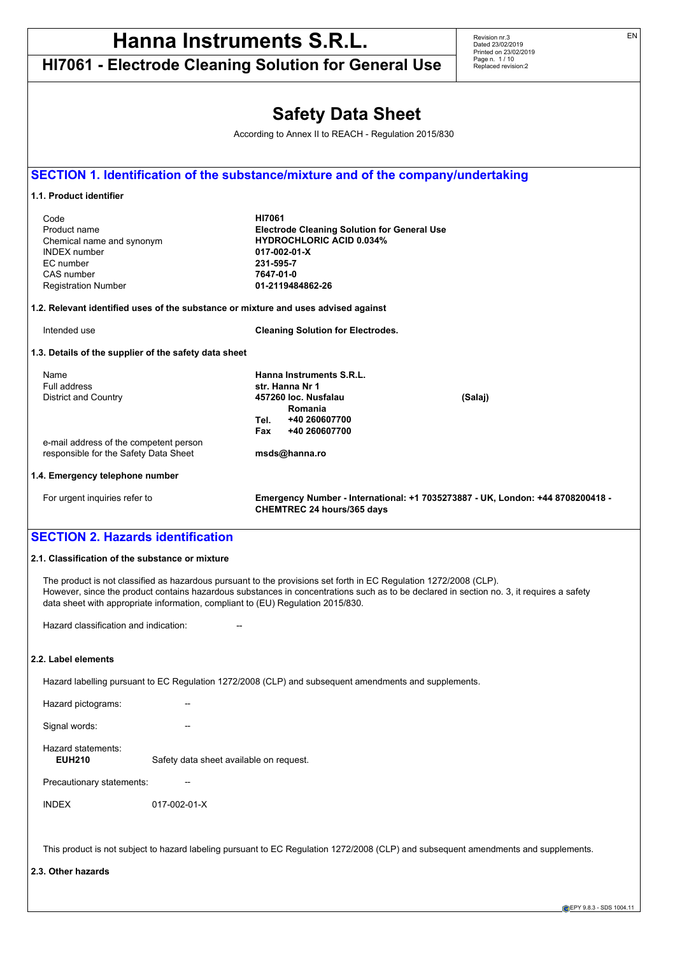**HI7061 - Electrode Cleaning Solution for General Use**

Revision nr.3 Dated 23/02/2019 Printed on 23/02/2019 Page n. 1 / 10 Replaced revision:2

|                                                       |                                         | <b>Safety Data Sheet</b>                                                                                          |                                                                                                                                          |
|-------------------------------------------------------|-----------------------------------------|-------------------------------------------------------------------------------------------------------------------|------------------------------------------------------------------------------------------------------------------------------------------|
|                                                       |                                         | According to Annex II to REACH - Regulation 2015/830                                                              |                                                                                                                                          |
|                                                       |                                         |                                                                                                                   | SECTION 1. Identification of the substance/mixture and of the company/undertaking                                                        |
| 1.1. Product identifier                               |                                         |                                                                                                                   |                                                                                                                                          |
| Code                                                  |                                         | <b>HI7061</b>                                                                                                     |                                                                                                                                          |
| Product name                                          |                                         | <b>Electrode Cleaning Solution for General Use</b>                                                                |                                                                                                                                          |
| Chemical name and synonym                             |                                         | <b>HYDROCHLORIC ACID 0.034%</b>                                                                                   |                                                                                                                                          |
| <b>INDEX</b> number                                   |                                         | 017-002-01-X                                                                                                      |                                                                                                                                          |
| EC number<br>CAS number                               |                                         | 231-595-7<br>7647-01-0                                                                                            |                                                                                                                                          |
| <b>Registration Number</b>                            |                                         | 01-2119484862-26                                                                                                  |                                                                                                                                          |
|                                                       |                                         |                                                                                                                   |                                                                                                                                          |
|                                                       |                                         | 1.2. Relevant identified uses of the substance or mixture and uses advised against                                |                                                                                                                                          |
| Intended use                                          |                                         | <b>Cleaning Solution for Electrodes.</b>                                                                          |                                                                                                                                          |
| 1.3. Details of the supplier of the safety data sheet |                                         |                                                                                                                   |                                                                                                                                          |
| Name                                                  |                                         | Hanna Instruments S.R.L.                                                                                          |                                                                                                                                          |
| Full address                                          |                                         | str. Hanna Nr 1                                                                                                   |                                                                                                                                          |
| <b>District and Country</b>                           |                                         | 457260 loc. Nusfalau                                                                                              | (Salaj)                                                                                                                                  |
|                                                       |                                         | Romania                                                                                                           |                                                                                                                                          |
|                                                       |                                         | +40 260607700<br>Tel.<br>Fax<br>+40 260607700                                                                     |                                                                                                                                          |
| e-mail address of the competent person                |                                         |                                                                                                                   |                                                                                                                                          |
| responsible for the Safety Data Sheet                 |                                         | msds@hanna.ro                                                                                                     |                                                                                                                                          |
| 1.4. Emergency telephone number                       |                                         |                                                                                                                   |                                                                                                                                          |
| For urgent inquiries refer to                         |                                         |                                                                                                                   | Emergency Number - International: +1 7035273887 - UK, London: +44 8708200418 -                                                           |
|                                                       |                                         | CHEMTREC 24 hours/365 days                                                                                        |                                                                                                                                          |
| <b>SECTION 2. Hazards identification</b>              |                                         |                                                                                                                   |                                                                                                                                          |
| 2.1. Classification of the substance or mixture       |                                         |                                                                                                                   |                                                                                                                                          |
|                                                       |                                         | The product is not classified as hazardous pursuant to the provisions set forth in EC Regulation 1272/2008 (CLP). |                                                                                                                                          |
|                                                       |                                         | data sheet with appropriate information, compliant to (EU) Regulation 2015/830.                                   | However, since the product contains hazardous substances in concentrations such as to be declared in section no. 3, it requires a safety |
| Hazard classification and indication:                 |                                         |                                                                                                                   |                                                                                                                                          |
| 2.2. Label elements                                   |                                         |                                                                                                                   |                                                                                                                                          |
|                                                       |                                         | Hazard labelling pursuant to EC Regulation 1272/2008 (CLP) and subsequent amendments and supplements.             |                                                                                                                                          |
| Hazard pictograms:                                    |                                         |                                                                                                                   |                                                                                                                                          |
| Signal words:                                         |                                         |                                                                                                                   |                                                                                                                                          |
|                                                       |                                         |                                                                                                                   |                                                                                                                                          |
| Hazard statements:<br><b>EUH210</b>                   | Safety data sheet available on request. |                                                                                                                   |                                                                                                                                          |
| Precautionary statements:                             |                                         |                                                                                                                   |                                                                                                                                          |
| <b>INDEX</b>                                          | 017-002-01-X                            |                                                                                                                   |                                                                                                                                          |
|                                                       |                                         |                                                                                                                   | This product is not subject to hazard labeling pursuant to EC Regulation 1272/2008 (CLP) and subsequent amendments and supplements.      |

**2.3. Other hazards**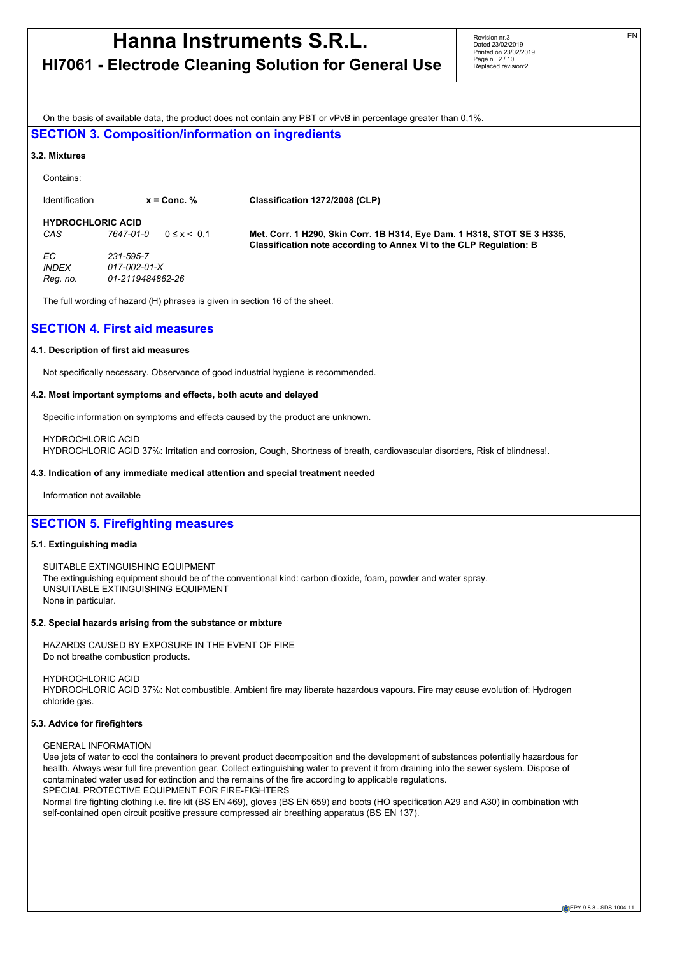**HI7061 - Electrode Cleaning Solution for General Use**

Revision nr.3 Dated 23/02/2019 Printed on 23/02/2019 Page n. 2 / 10 Replaced revision:2

On the basis of available data, the product does not contain any PBT or vPvB in percentage greater than 0,1%.

### **SECTION 3. Composition/information on ingredients**

### **3.2. Mixtures**

Contains:

Identification **x = Conc. % Classification 1272/2008 (CLP) HYDROCHLORIC ACID**<br>CAS 7647-01-0 0 ≤ x < 0,1 *CAS 7647-01-0* 0 ≤ x < 0,1 **Met. Corr. 1 H290, Skin Corr. 1B H314, Eye Dam. 1 H318, STOT SE 3 H335,** *EC 231-595-7*

**Classification note according to Annex VI to the CLP Regulation: B**

*INDEX 017-002-01-X Reg. no. 01-2119484862-26*

The full wording of hazard (H) phrases is given in section 16 of the sheet.

## **SECTION 4. First aid measures**

### **4.1. Description of first aid measures**

Not specifically necessary. Observance of good industrial hygiene is recommended.

### **4.2. Most important symptoms and effects, both acute and delayed**

Specific information on symptoms and effects caused by the product are unknown.

HYDROCHLORIC ACID HYDROCHLORIC ACID 37%: Irritation and corrosion, Cough, Shortness of breath, cardiovascular disorders, Risk of blindness!.

### **4.3. Indication of any immediate medical attention and special treatment needed**

Information not available

## **SECTION 5. Firefighting measures**

### **5.1. Extinguishing media**

SUITABLE EXTINGUISHING EQUIPMENT The extinguishing equipment should be of the conventional kind: carbon dioxide, foam, powder and water spray. UNSUITABLE EXTINGUISHING EQUIPMENT None in particular.

### **5.2. Special hazards arising from the substance or mixture**

HAZARDS CAUSED BY EXPOSURE IN THE EVENT OF FIRE Do not breathe combustion products.

HYDROCHLORIC ACID

HYDROCHLORIC ACID 37%: Not combustible. Ambient fire may liberate hazardous vapours. Fire may cause evolution of: Hydrogen chloride gas.

### **5.3. Advice for firefighters**

### GENERAL INFORMATION

Use jets of water to cool the containers to prevent product decomposition and the development of substances potentially hazardous for health. Always wear full fire prevention gear. Collect extinguishing water to prevent it from draining into the sewer system. Dispose of contaminated water used for extinction and the remains of the fire according to applicable regulations. SPECIAL PROTECTIVE EQUIPMENT FOR FIRE-FIGHTERS

Normal fire fighting clothing i.e. fire kit (BS EN 469), gloves (BS EN 659) and boots (HO specification A29 and A30) in combination with self-contained open circuit positive pressure compressed air breathing apparatus (BS EN 137).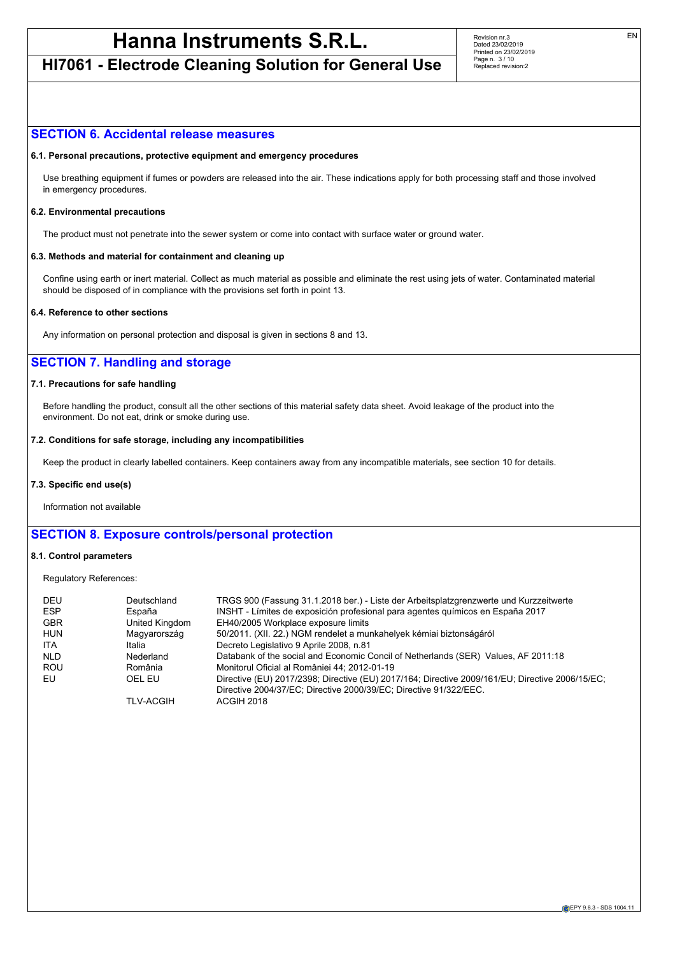## **HI7061 - Electrode Cleaning Solution for General Use**

Revision nr.3 Dated 23/02/2019 Printed on 23/02/2019 Page n. 3 / 10 Replaced revision:2

## **SECTION 6. Accidental release measures**

### **6.1. Personal precautions, protective equipment and emergency procedures**

Use breathing equipment if fumes or powders are released into the air. These indications apply for both processing staff and those involved in emergency procedures.

#### **6.2. Environmental precautions**

The product must not penetrate into the sewer system or come into contact with surface water or ground water.

#### **6.3. Methods and material for containment and cleaning up**

Confine using earth or inert material. Collect as much material as possible and eliminate the rest using jets of water. Contaminated material should be disposed of in compliance with the provisions set forth in point 13.

### **6.4. Reference to other sections**

Any information on personal protection and disposal is given in sections 8 and 13.

## **SECTION 7. Handling and storage**

#### **7.1. Precautions for safe handling**

Before handling the product, consult all the other sections of this material safety data sheet. Avoid leakage of the product into the environment. Do not eat, drink or smoke during use.

### **7.2. Conditions for safe storage, including any incompatibilities**

Keep the product in clearly labelled containers. Keep containers away from any incompatible materials, see section 10 for details.

### **7.3. Specific end use(s)**

Information not available

## **SECTION 8. Exposure controls/personal protection**

#### **8.1. Control parameters**

Regulatory References:

| DEU        | Deutschland      | TRGS 900 (Fassung 31.1.2018 ber.) - Liste der Arbeitsplatzgrenzwerte und Kurzzeitwerte          |
|------------|------------------|-------------------------------------------------------------------------------------------------|
| <b>ESP</b> | España           | INSHT - Límites de exposición profesional para agentes guímicos en España 2017                  |
| <b>GBR</b> | United Kingdom   | EH40/2005 Workplace exposure limits                                                             |
| <b>HUN</b> | Magyarország     | 50/2011. (XII. 22.) NGM rendelet a munkahelyek kémiai biztonságáról                             |
| <b>ITA</b> | Italia           | Decreto Legislativo 9 Aprile 2008, n.81                                                         |
| <b>NLD</b> | Nederland        | Databank of the social and Economic Concil of Netherlands (SER) Values, AF 2011:18              |
| <b>ROU</b> | România          | Monitorul Oficial al României 44; 2012-01-19                                                    |
| EU         | OEL EU           | Directive (EU) 2017/2398; Directive (EU) 2017/164; Directive 2009/161/EU; Directive 2006/15/EC; |
|            |                  | Directive 2004/37/EC; Directive 2000/39/EC; Directive 91/322/EEC.                               |
|            | <b>TLV-ACGIH</b> | ACGIH 2018                                                                                      |
|            |                  |                                                                                                 |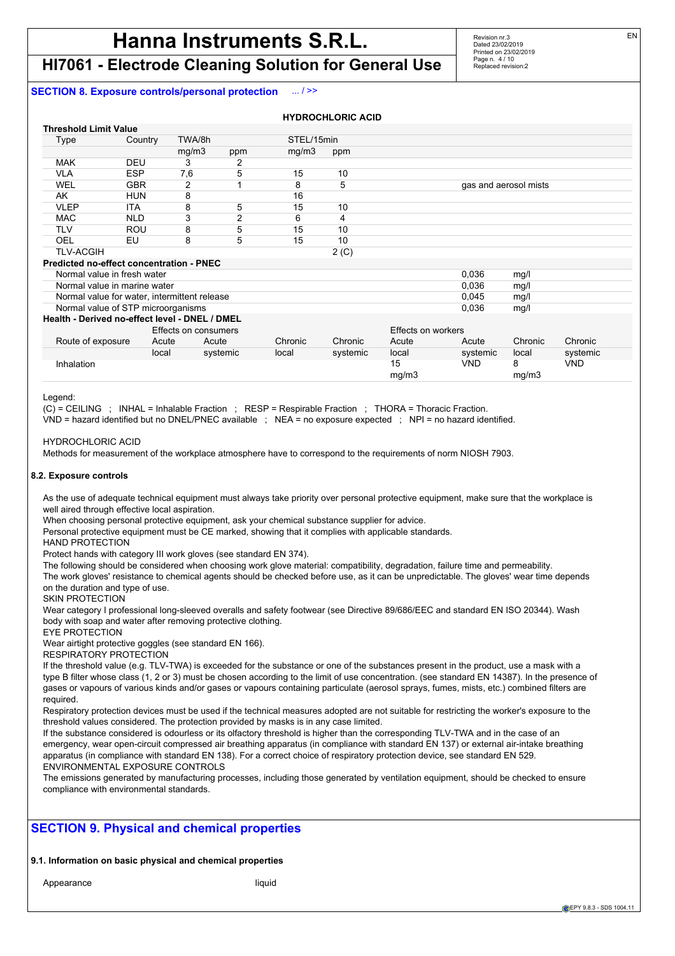### **SECTION 8. Exposure controls/personal protection** ... / >>

Revision nr.3 Dated 23/02/2019 Printed on 23/02/2019 Page n. 4 / 10

EN

| <b>ECTION 8. Exposure controls/personal protection</b> |            |                      |          | / >>       |                          |                    |            |                       |            |
|--------------------------------------------------------|------------|----------------------|----------|------------|--------------------------|--------------------|------------|-----------------------|------------|
|                                                        |            |                      |          |            | <b>HYDROCHLORIC ACID</b> |                    |            |                       |            |
| <b>Threshold Limit Value</b>                           |            |                      |          |            |                          |                    |            |                       |            |
| Type                                                   | Country    | TWA/8h               |          | STEL/15min |                          |                    |            |                       |            |
|                                                        |            | mg/m3                | ppm      | mq/m3      | ppm                      |                    |            |                       |            |
| <b>MAK</b>                                             | <b>DEU</b> | 3                    | 2        |            |                          |                    |            |                       |            |
| <b>VLA</b>                                             | <b>ESP</b> | 7,6                  | 5        | 15         | 10                       |                    |            |                       |            |
| <b>WEL</b>                                             | <b>GBR</b> | 2                    | 1        | 8          | 5                        |                    |            | gas and aerosol mists |            |
| AK                                                     | <b>HUN</b> | 8                    |          | 16         |                          |                    |            |                       |            |
| <b>VLEP</b>                                            | <b>ITA</b> | 8                    | 5        | 15         | 10                       |                    |            |                       |            |
| <b>MAC</b>                                             | <b>NLD</b> | 3                    | 2        | 6          | 4                        |                    |            |                       |            |
| <b>TLV</b>                                             | <b>ROU</b> | 8                    | 5        | 15         | 10                       |                    |            |                       |            |
| OEL                                                    | EU         | 8                    | 5        | 15         | 10                       |                    |            |                       |            |
| <b>TLV-ACGIH</b>                                       |            |                      |          |            | 2(C)                     |                    |            |                       |            |
| <b>Predicted no-effect concentration - PNEC</b>        |            |                      |          |            |                          |                    |            |                       |            |
| Normal value in fresh water                            |            |                      |          |            |                          |                    | 0.036      | mg/l                  |            |
| Normal value in marine water                           |            |                      |          |            |                          |                    | 0,036      | mg/l                  |            |
| Normal value for water, intermittent release           |            |                      |          |            |                          |                    | 0.045      | mg/l                  |            |
| Normal value of STP microorganisms                     |            |                      |          |            |                          |                    | 0,036      | mg/l                  |            |
| Health - Derived no-effect level - DNEL / DMEL         |            |                      |          |            |                          |                    |            |                       |            |
|                                                        |            | Effects on consumers |          |            |                          | Effects on workers |            |                       |            |
| Route of exposure                                      | Acute      | Acute                |          | Chronic    | Chronic                  | Acute              | Acute      | Chronic               | Chronic    |
|                                                        | local      |                      | systemic | local      | systemic                 | local              | systemic   | local                 | systemic   |
| Inhalation                                             |            |                      |          |            |                          | 15                 | <b>VND</b> | 8                     | <b>VND</b> |
|                                                        |            |                      |          |            |                          | mg/m3              |            | mg/m3                 |            |

(C) = CEILING ; INHAL = Inhalable Fraction ; RESP = Respirable Fraction ; THORA = Thoracic Fraction.

VND = hazard identified but no DNEL/PNEC available ; NEA = no exposure expected ; NPI = no hazard identified.

### HYDROCHLORIC ACID

Methods for measurement of the workplace atmosphere have to correspond to the requirements of norm NIOSH 7903.

### **8.2. Exposure controls**

As the use of adequate technical equipment must always take priority over personal protective equipment, make sure that the workplace is well aired through effective local aspiration.

When choosing personal protective equipment, ask your chemical substance supplier for advice.

Personal protective equipment must be CE marked, showing that it complies with applicable standards.

HAND PROTECTION

Protect hands with category III work gloves (see standard EN 374).

The following should be considered when choosing work glove material: compatibility, degradation, failure time and permeability.

The work gloves' resistance to chemical agents should be checked before use, as it can be unpredictable. The gloves' wear time depends on the duration and type of use.

SKIN PROTECTION

Wear category I professional long-sleeved overalls and safety footwear (see Directive 89/686/EEC and standard EN ISO 20344). Wash body with soap and water after removing protective clothing.

EYE PROTECTION

Wear airtight protective goggles (see standard EN 166).

RESPIRATORY PROTECTION

If the threshold value (e.g. TLV-TWA) is exceeded for the substance or one of the substances present in the product, use a mask with a type B filter whose class (1, 2 or 3) must be chosen according to the limit of use concentration. (see standard EN 14387). In the presence of gases or vapours of various kinds and/or gases or vapours containing particulate (aerosol sprays, fumes, mists, etc.) combined filters are required.

Respiratory protection devices must be used if the technical measures adopted are not suitable for restricting the worker's exposure to the threshold values considered. The protection provided by masks is in any case limited.

If the substance considered is odourless or its olfactory threshold is higher than the corresponding TLV-TWA and in the case of an emergency, wear open-circuit compressed air breathing apparatus (in compliance with standard EN 137) or external air-intake breathing apparatus (in compliance with standard EN 138). For a correct choice of respiratory protection device, see standard EN 529. ENVIRONMENTAL EXPOSURE CONTROLS

The emissions generated by manufacturing processes, including those generated by ventilation equipment, should be checked to ensure compliance with environmental standards.

## **SECTION 9. Physical and chemical properties**

### **9.1. Information on basic physical and chemical properties**

Appearance liquid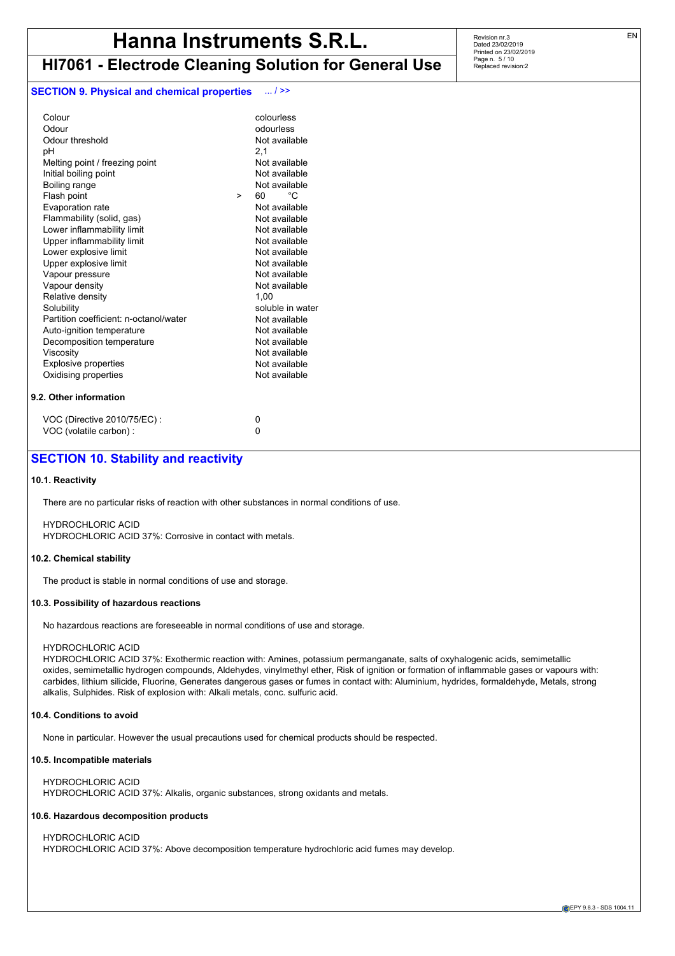## **HI7061 - Electrode Cleaning Solution for General Use**

### **SECTION 9. Physical and chemical properties** ... / >>

| Colour<br>Odour<br>Odour threshold<br>рH<br>Melting point / freezing point<br>Initial boiling point<br>Boiling range<br>Flash point<br>Evaporation rate<br>Flammability (solid, gas)<br>Lower inflammability limit<br>Upper inflammability limit<br>Lower explosive limit<br>Upper explosive limit<br>Vapour pressure<br>Vapour density<br>Relative density | colourless<br>odourless<br>Not available<br>2,1<br>Not available<br>Not available<br>Not available<br>°C<br>60<br>$\geq$<br>Not available<br>Not available<br>Not available<br>Not available<br>Not available<br>Not available<br>Not available<br>Not available<br>1,00 |
|-------------------------------------------------------------------------------------------------------------------------------------------------------------------------------------------------------------------------------------------------------------------------------------------------------------------------------------------------------------|--------------------------------------------------------------------------------------------------------------------------------------------------------------------------------------------------------------------------------------------------------------------------|
|                                                                                                                                                                                                                                                                                                                                                             |                                                                                                                                                                                                                                                                          |
|                                                                                                                                                                                                                                                                                                                                                             |                                                                                                                                                                                                                                                                          |
|                                                                                                                                                                                                                                                                                                                                                             |                                                                                                                                                                                                                                                                          |
|                                                                                                                                                                                                                                                                                                                                                             |                                                                                                                                                                                                                                                                          |
|                                                                                                                                                                                                                                                                                                                                                             |                                                                                                                                                                                                                                                                          |
|                                                                                                                                                                                                                                                                                                                                                             |                                                                                                                                                                                                                                                                          |
|                                                                                                                                                                                                                                                                                                                                                             |                                                                                                                                                                                                                                                                          |
|                                                                                                                                                                                                                                                                                                                                                             |                                                                                                                                                                                                                                                                          |
| Solubility                                                                                                                                                                                                                                                                                                                                                  | soluble in water                                                                                                                                                                                                                                                         |
| Partition coefficient: n-octanol/water                                                                                                                                                                                                                                                                                                                      | Not available                                                                                                                                                                                                                                                            |
| Auto-ignition temperature                                                                                                                                                                                                                                                                                                                                   | Not available                                                                                                                                                                                                                                                            |
| Decomposition temperature                                                                                                                                                                                                                                                                                                                                   | Not available                                                                                                                                                                                                                                                            |
| Viscosity                                                                                                                                                                                                                                                                                                                                                   | Not available                                                                                                                                                                                                                                                            |
| <b>Explosive properties</b>                                                                                                                                                                                                                                                                                                                                 | Not available                                                                                                                                                                                                                                                            |
| Oxidising properties                                                                                                                                                                                                                                                                                                                                        | Not available                                                                                                                                                                                                                                                            |
| 9.2. Other information                                                                                                                                                                                                                                                                                                                                      |                                                                                                                                                                                                                                                                          |
| VOC (Directive 2010/75/EC) :                                                                                                                                                                                                                                                                                                                                | 0                                                                                                                                                                                                                                                                        |
| VOC (volatile carbon) :                                                                                                                                                                                                                                                                                                                                     | 0                                                                                                                                                                                                                                                                        |
|                                                                                                                                                                                                                                                                                                                                                             |                                                                                                                                                                                                                                                                          |

## **SECTION 10. Stability and reactivity**

### **10.1. Reactivity**

There are no particular risks of reaction with other substances in normal conditions of use.

HYDROCHLORIC ACID HYDROCHLORIC ACID 37%: Corrosive in contact with metals.

#### **10.2. Chemical stability**

The product is stable in normal conditions of use and storage.

### **10.3. Possibility of hazardous reactions**

No hazardous reactions are foreseeable in normal conditions of use and storage.

### HYDROCHLORIC ACID

HYDROCHLORIC ACID 37%: Exothermic reaction with: Amines, potassium permanganate, salts of oxyhalogenic acids, semimetallic oxides, semimetallic hydrogen compounds, Aldehydes, vinylmethyl ether, Risk of ignition or formation of inflammable gases or vapours with: carbides, lithium silicide, Fluorine, Generates dangerous gases or fumes in contact with: Aluminium, hydrides, formaldehyde, Metals, strong alkalis, Sulphides. Risk of explosion with: Alkali metals, conc. sulfuric acid.

### **10.4. Conditions to avoid**

None in particular. However the usual precautions used for chemical products should be respected.

### **10.5. Incompatible materials**

HYDROCHLORIC ACID HYDROCHLORIC ACID 37%: Alkalis, organic substances, strong oxidants and metals.

### **10.6. Hazardous decomposition products**

HYDROCHLORIC ACID HYDROCHLORIC ACID 37%: Above decomposition temperature hydrochloric acid fumes may develop.

Revision nr.3 Dated 23/02/2019 Printed on 23/02/2019 Page n. 5 / 10 Replaced revision:2

EN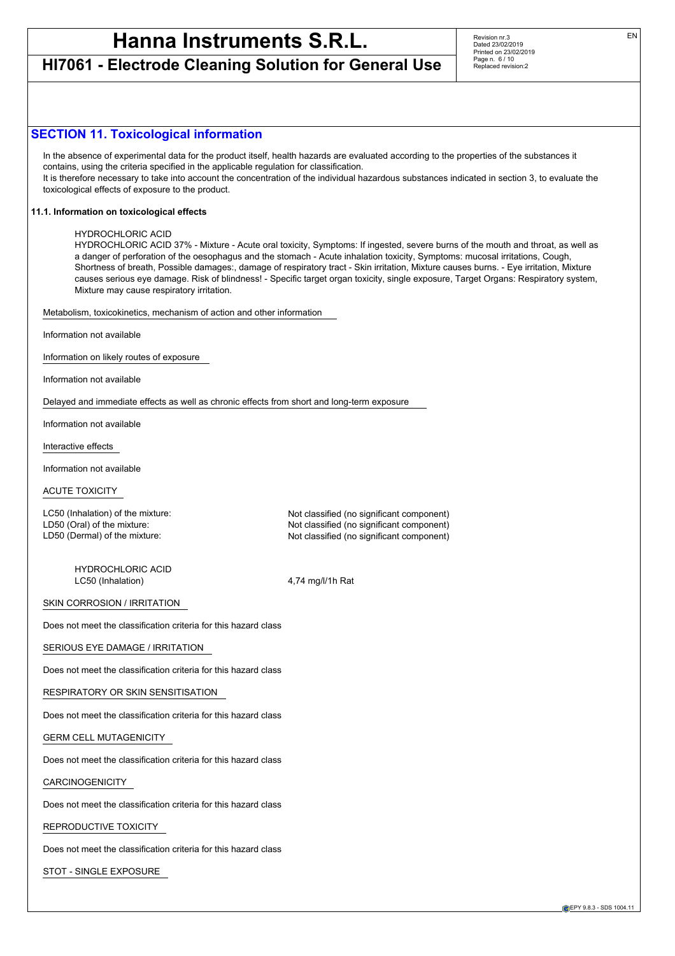**HI7061 - Electrode Cleaning Solution for General Use**

Revision nr.3 Dated 23/02/2019 Printed on 23/02/2019 Page n. 6 / 10 Replaced revision:2

### **SECTION 11. Toxicological information**

In the absence of experimental data for the product itself, health hazards are evaluated according to the properties of the substances it contains, using the criteria specified in the applicable regulation for classification.

It is therefore necessary to take into account the concentration of the individual hazardous substances indicated in section 3, to evaluate the toxicological effects of exposure to the product.

### **11.1. Information on toxicological effects**

### HYDROCHLORIC ACID

HYDROCHLORIC ACID 37% - Mixture - Acute oral toxicity, Symptoms: If ingested, severe burns of the mouth and throat, as well as a danger of perforation of the oesophagus and the stomach - Acute inhalation toxicity, Symptoms: mucosal irritations, Cough, Shortness of breath, Possible damages:, damage of respiratory tract - Skin irritation, Mixture causes burns. - Eye irritation, Mixture causes serious eye damage. Risk of blindness! - Specific target organ toxicity, single exposure, Target Organs: Respiratory system, Mixture may cause respiratory irritation.

Metabolism, toxicokinetics, mechanism of action and other information

Information not available

Information on likely routes of exposure

Information not available

Delayed and immediate effects as well as chronic effects from short and long-term exposure

Information not available

Interactive effects

Information not available

ACUTE TOXICITY

LC50 (Inhalation) of the mixture: Not classified (no significant component) LD50 (Oral) of the mixture:  $\blacksquare$  Not classified (no significant component) LD50 (Dermal) of the mixture:  $\blacksquare$  Not classified (no significant component)

HYDROCHLORIC ACID LC50 (Inhalation) 4,74 mg/l/1h Rat

SKIN CORROSION / IRRITATION

Does not meet the classification criteria for this hazard class

SERIOUS EYE DAMAGE / IRRITATION

Does not meet the classification criteria for this hazard class

RESPIRATORY OR SKIN SENSITISATION

Does not meet the classification criteria for this hazard class

GERM CELL MUTAGENICITY

Does not meet the classification criteria for this hazard class

CARCINOGENICITY

Does not meet the classification criteria for this hazard class

REPRODUCTIVE TOXICITY

Does not meet the classification criteria for this hazard class

STOT - SINGLE EXPOSURE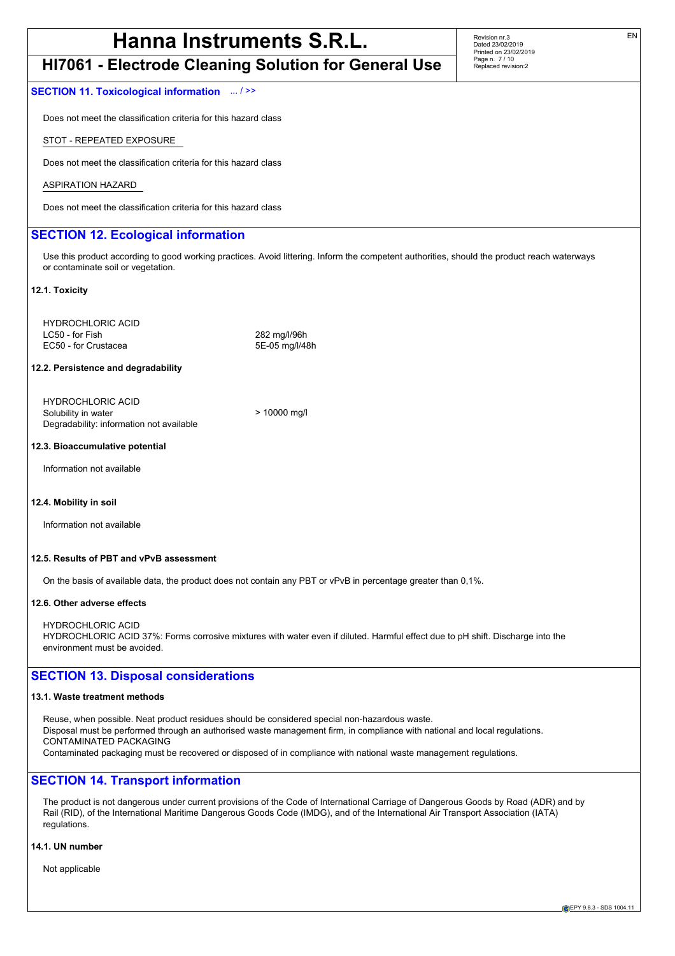## **HI7061 - Electrode Cleaning Solution for General Use**

Revision nr.3 Dated 23/02/2019 Printed on 23/02/2019 Page n. 7 / 10 Replaced revision:2

### **SECTION 11. Toxicological information** ... / >>

Does not meet the classification criteria for this hazard class

STOT - REPEATED EXPOSURE

Does not meet the classification criteria for this hazard class

ASPIRATION HAZARD

Does not meet the classification criteria for this hazard class

### **SECTION 12. Ecological information**

Use this product according to good working practices. Avoid littering. Inform the competent authorities, should the product reach waterways or contaminate soil or vegetation.

#### **12.1. Toxicity**

HYDROCHLORIC ACID LC50 - for Fish 282 mg/l/96h EC50 - for Crustacea 6 and 5E-05 mg/l/48h

### **12.2. Persistence and degradability**

HYDROCHLORIC ACID Solubility in water  $\sim$  10000 mg/l Degradability: information not available

### **12.3. Bioaccumulative potential**

Information not available

#### **12.4. Mobility in soil**

Information not available

### **12.5. Results of PBT and vPvB assessment**

On the basis of available data, the product does not contain any PBT or vPvB in percentage greater than 0,1%.

### **12.6. Other adverse effects**

HYDROCHLORIC ACID HYDROCHLORIC ACID 37%: Forms corrosive mixtures with water even if diluted. Harmful effect due to pH shift. Discharge into the environment must be avoided.

### **SECTION 13. Disposal considerations**

#### **13.1. Waste treatment methods**

Reuse, when possible. Neat product residues should be considered special non-hazardous waste. Disposal must be performed through an authorised waste management firm, in compliance with national and local regulations. CONTAMINATED PACKAGING Contaminated packaging must be recovered or disposed of in compliance with national waste management regulations.

### **SECTION 14. Transport information**

The product is not dangerous under current provisions of the Code of International Carriage of Dangerous Goods by Road (ADR) and by Rail (RID), of the International Maritime Dangerous Goods Code (IMDG), and of the International Air Transport Association (IATA) regulations.

### **14.1. UN number**

Not applicable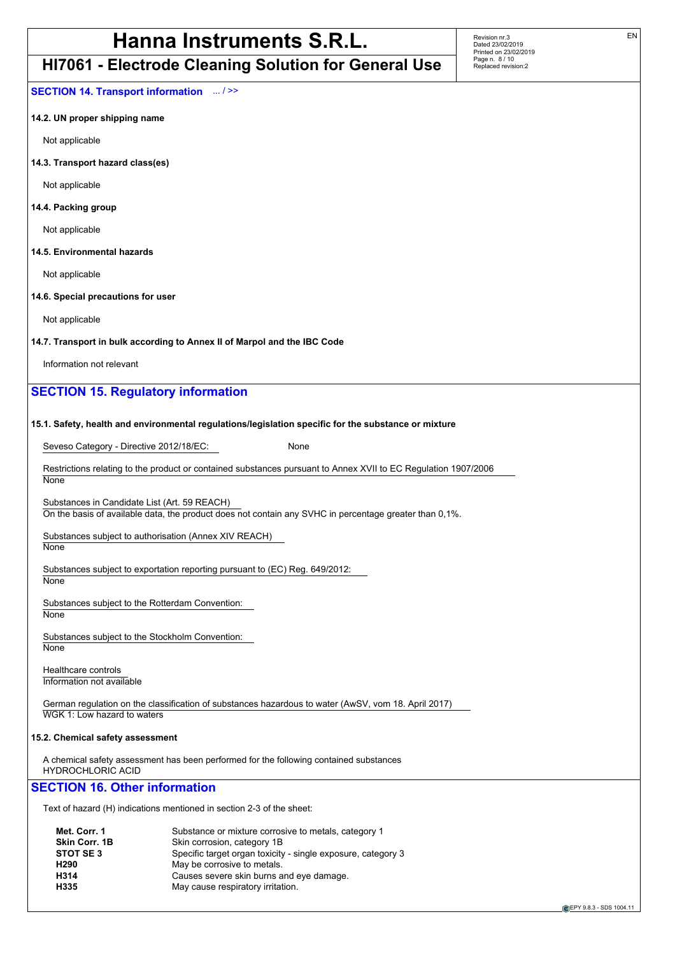## **HI7061 - Electrode Cleaning Solution for General Use**

Revision nr.3 Dated 23/02/2019 Printed on 23/02/2019 Page n. 8 / 10 Replaced revision:2

**SECTION 14. Transport information** ... / >>

### **14.2. UN proper shipping name**

Not applicable

**14.3. Transport hazard class(es)**

Not applicable

### **14.4. Packing group**

Not applicable

### **14.5. Environmental hazards**

Not applicable

### **14.6. Special precautions for user**

Not applicable

### **14.7. Transport in bulk according to Annex II of Marpol and the IBC Code**

Information not relevant

## **SECTION 15. Regulatory information**

### **15.1. Safety, health and environmental regulations/legislation specific for the substance or mixture**

Seveso Category - Directive 2012/18/EC: None

Restrictions relating to the product or contained substances pursuant to Annex XVII to EC Regulation 1907/2006 **None** 

Substances in Candidate List (Art. 59 REACH) On the basis of available data, the product does not contain any SVHC in percentage greater than 0,1%.

Substances subject to authorisation (Annex XIV REACH)

**None** 

Substances subject to exportation reporting pursuant to (EC) Reg. 649/2012:

**None** 

Substances subject to the Rotterdam Convention: **None** 

Substances subject to the Stockholm Convention: **None** 

Healthcare controls Information not available

German regulation on the classification of substances hazardous to water (AwSV, vom 18. April 2017) WGK 1: Low hazard to waters

### **15.2. Chemical safety assessment**

A chemical safety assessment has been performed for the following contained substances HYDROCHLORIC ACID

### **SECTION 16. Other information**

Text of hazard (H) indications mentioned in section 2-3 of the sheet:

| Met. Corr. 1     | Substance or mixture corrosive to metals, category 1         |
|------------------|--------------------------------------------------------------|
| Skin Corr, 1B    | Skin corrosion, category 1B                                  |
| STOT SE3         | Specific target organ toxicity - single exposure, category 3 |
| H <sub>290</sub> | May be corrosive to metals.                                  |
| H314             | Causes severe skin burns and eye damage.                     |
| H335             | May cause respiratory irritation.                            |

EN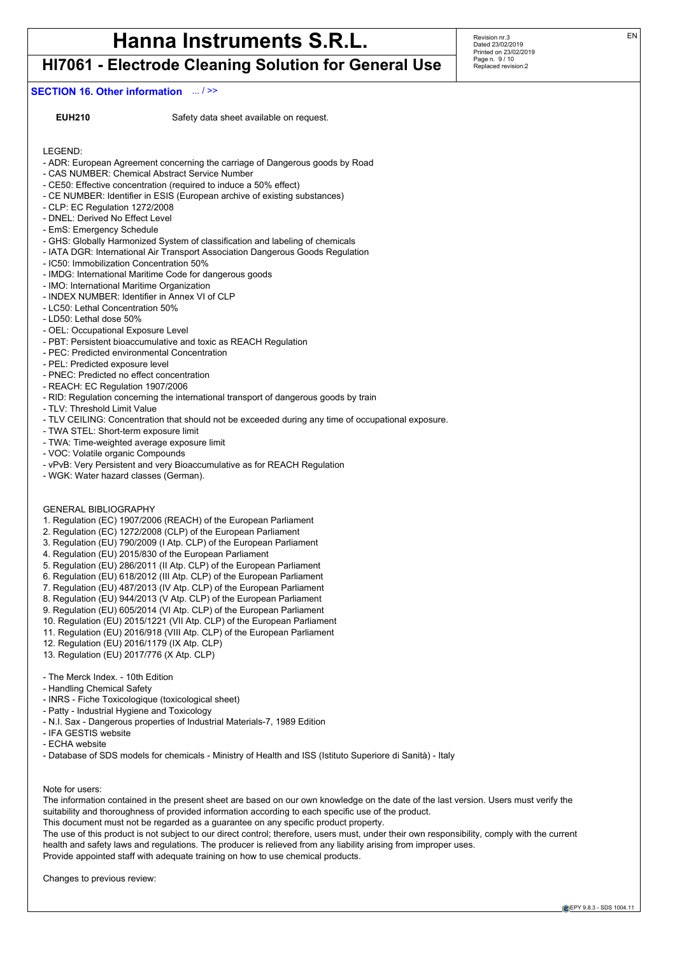## **HI7061 - Electrode Cleaning Solution for General Use**

### **SECTION 16. Other information** ... / >>

### **EUH210** Safety data sheet available on request.

LEGEND:

- ADR: European Agreement concerning the carriage of Dangerous goods by Road
- CAS NUMBER: Chemical Abstract Service Number
- CE50: Effective concentration (required to induce a 50% effect) - CE NUMBER: Identifier in ESIS (European archive of existing substances)
- CLP: EC Regulation 1272/2008
- 
- DNEL: Derived No Effect Level
- EmS: Emergency Schedule
- GHS: Globally Harmonized System of classification and labeling of chemicals
- IATA DGR: International Air Transport Association Dangerous Goods Regulation
- IC50: Immobilization Concentration 50%
- IMDG: International Maritime Code for dangerous goods
- IMO: International Maritime Organization
- INDEX NUMBER: Identifier in Annex VI of CLP
- LC50: Lethal Concentration 50%
- LD50: Lethal dose 50%
- OEL: Occupational Exposure Level
- PBT: Persistent bioaccumulative and toxic as REACH Regulation
- PEC: Predicted environmental Concentration
- PEL: Predicted exposure level
- PNEC: Predicted no effect concentration
- REACH: EC Regulation 1907/2006
- RID: Regulation concerning the international transport of dangerous goods by train
- TLV: Threshold Limit Value
- TLV CEILING: Concentration that should not be exceeded during any time of occupational exposure.
- TWA STEL: Short-term exposure limit
- TWA: Time-weighted average exposure limit
- VOC: Volatile organic Compounds
- vPvB: Very Persistent and very Bioaccumulative as for REACH Regulation
- WGK: Water hazard classes (German).

#### GENERAL BIBLIOGRAPHY

- 1. Regulation (EC) 1907/2006 (REACH) of the European Parliament
- 2. Regulation (EC) 1272/2008 (CLP) of the European Parliament
- 3. Regulation (EU) 790/2009 (I Atp. CLP) of the European Parliament
- 4. Regulation (EU) 2015/830 of the European Parliament
- 5. Regulation (EU) 286/2011 (II Atp. CLP) of the European Parliament
- 6. Regulation (EU) 618/2012 (III Atp. CLP) of the European Parliament
- 7. Regulation (EU) 487/2013 (IV Atp. CLP) of the European Parliament
- 8. Regulation (EU) 944/2013 (V Atp. CLP) of the European Parliament
- 9. Regulation (EU) 605/2014 (VI Atp. CLP) of the European Parliament
- 10. Regulation (EU) 2015/1221 (VII Atp. CLP) of the European Parliament
- 11. Regulation (EU) 2016/918 (VIII Atp. CLP) of the European Parliament
- 12. Regulation (EU) 2016/1179 (IX Atp. CLP)
- 13. Regulation (EU) 2017/776 (X Atp. CLP)
- 
- The Merck Index. 10th Edition
- Handling Chemical Safety
- INRS Fiche Toxicologique (toxicological sheet)
- Patty Industrial Hygiene and Toxicology
- N.I. Sax Dangerous properties of Industrial Materials-7, 1989 Edition
- IFA GESTIS website
- ECHA website
- Database of SDS models for chemicals Ministry of Health and ISS (Istituto Superiore di Sanità) Italy

The information contained in the present sheet are based on our own knowledge on the date of the last version. Users must verify the suitability and thoroughness of provided information according to each specific use of the product.

This document must not be regarded as a guarantee on any specific product property.

The use of this product is not subject to our direct control; therefore, users must, under their own responsibility, comply with the current health and safety laws and regulations. The producer is relieved from any liability arising from improper uses. Provide appointed staff with adequate training on how to use chemical products.

Changes to previous review:

Revision nr.3 Dated 23/02/2019 Printed on 23/02/2019 Page n. 9 / 10 Replaced revision:2